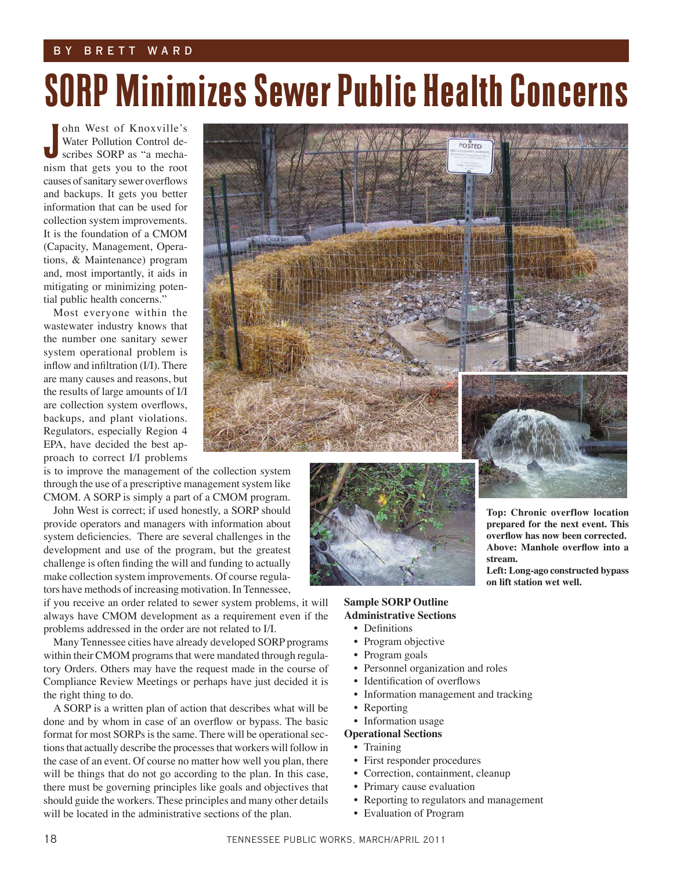### by brett w a r d

# SORP Minimizes Sewer Public Health Concerns

ohn West of Knoxville's Water Pollution Control describes SORP as "a mechaohn West of Knoxville's<br>Water Pollution Control de-<br>scribes SORP as "a mecha-<br>nism that gets you to the root causes of sanitary sewer overflows and backups. It gets you better information that can be used for collection system improvements. It is the foundation of a CMOM (Capacity, Management, Operations, & Maintenance) program and, most importantly, it aids in mitigating or minimizing potential public health concerns."

Most everyone within the wastewater industry knows that the number one sanitary sewer system operational problem is inflow and infiltration (I/I). There are many causes and reasons, but the results of large amounts of I/I are collection system overflows, backups, and plant violations. Regulators, especially Region 4 EPA, have decided the best approach to correct I/I problems

is to improve the management of the collection system through the use of a prescriptive management system like CMOM. A SORP is simply a part of a CMOM program.

John West is correct; if used honestly, a SORP should provide operators and managers with information about system deficiencies. There are several challenges in the development and use of the program, but the greatest challenge is often finding the will and funding to actually make collection system improvements. Of course regulators have methods of increasing motivation. In Tennessee,

if you receive an order related to sewer system problems, it will always have CMOM development as a requirement even if the problems addressed in the order are not related to I/I.

Many Tennessee cities have already developed SORP programs within their CMOM programs that were mandated through regulatory Orders. Others may have the request made in the course of Compliance Review Meetings or perhaps have just decided it is the right thing to do.

A SORP is a written plan of action that describes what will be done and by whom in case of an overflow or bypass. The basic format for most SORPs is the same. There will be operational sections that actually describe the processes that workers will follow in the case of an event. Of course no matter how well you plan, there will be things that do not go according to the plan. In this case, there must be governing principles like goals and objectives that should guide the workers. These principles and many other details will be located in the administrative sections of the plan.





### **Sample SORP Outline Administrative Sections**

- Definitions
- Program objective
- Program goals
- Personnel organization and roles
- Identification of overflows
- Information management and tracking

**Top: Chronic overflow location prepared for the next event. This overflow has now been corrected. Above: Manhole overflow into a** 

**Left: Long-ago constructed bypass** 

**on lift station wet well.** 

**stream.**

- Reporting
- Information usage
- **Operational Sections**
	- Training
	- First responder procedures
	- Correction, containment, cleanup
	- Primary cause evaluation
	- Reporting to regulators and management
	- Evaluation of Program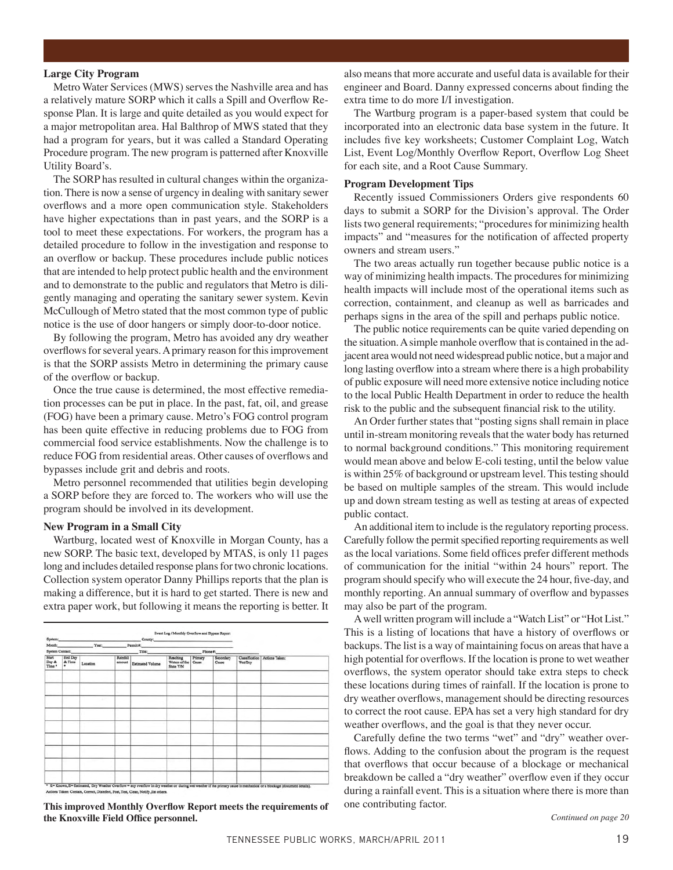#### **Large City Program**

Metro Water Services (MWS) serves the Nashville area and has a relatively mature SORP which it calls a Spill and Overflow Response Plan. It is large and quite detailed as you would expect for a major metropolitan area. Hal Balthrop of MWS stated that they had a program for years, but it was called a Standard Operating Procedure program. The new program is patterned after Knoxville Utility Board's.

The SORP has resulted in cultural changes within the organization. There is now a sense of urgency in dealing with sanitary sewer overflows and a more open communication style. Stakeholders have higher expectations than in past years, and the SORP is a tool to meet these expectations. For workers, the program has a detailed procedure to follow in the investigation and response to an overflow or backup. These procedures include public notices that are intended to help protect public health and the environment and to demonstrate to the public and regulators that Metro is diligently managing and operating the sanitary sewer system. Kevin McCullough of Metro stated that the most common type of public notice is the use of door hangers or simply door-to-door notice.

By following the program, Metro has avoided any dry weather overflows for several years. A primary reason for this improvement is that the SORP assists Metro in determining the primary cause of the overflow or backup.

Once the true cause is determined, the most effective remediation processes can be put in place. In the past, fat, oil, and grease (FOG) have been a primary cause. Metro's FOG control program has been quite effective in reducing problems due to FOG from commercial food service establishments. Now the challenge is to reduce FOG from residential areas. Other causes of overflows and bypasses include grit and debris and roots.

Metro personnel recommended that utilities begin developing a SORP before they are forced to. The workers who will use the program should be involved in its development.

#### **New Program in a Small City**

Wartburg, located west of Knoxville in Morgan County, has a new SORP. The basic text, developed by MTAS, is only 11 pages long and includes detailed response plans for two chronic locations. Collection system operator Danny Phillips reports that the plan is making a difference, but it is hard to get started. There is new and extra paper work, but following it means the reporting is better. It

| Month:                          |                               | Year: Year: | County: Production of the County:<br>Permit #: |                  |                                        |                  |                    |                |                                 |
|---------------------------------|-------------------------------|-------------|------------------------------------------------|------------------|----------------------------------------|------------------|--------------------|----------------|---------------------------------|
| System Contact:                 |                               |             | Title: Title:                                  |                  | Phone #:                               |                  |                    |                |                                 |
| <b>Start</b><br>Day &<br>Time * | <b>End Day</b><br>& Time<br>٠ | Location    | Rainfall<br>amount                             | Estimated Volume | Reaching<br>Waters of the<br>State Y/N | Primary<br>Cause | Secondary<br>Cause | <b>Wet/Dry</b> | Classification   Actions Taken: |
|                                 |                               |             |                                                |                  |                                        |                  |                    |                |                                 |
|                                 |                               |             |                                                |                  |                                        |                  |                    |                |                                 |
|                                 |                               |             |                                                |                  |                                        |                  |                    |                |                                 |
|                                 |                               |             |                                                |                  |                                        |                  |                    |                |                                 |
|                                 |                               |             |                                                |                  |                                        |                  |                    |                |                                 |
|                                 |                               |             |                                                |                  |                                        |                  |                    |                |                                 |
|                                 |                               |             |                                                |                  |                                        |                  |                    |                |                                 |

**This improved Monthly Overflow Report meets the requirements of** one contributing factor. **the Knoxville Field Office personnel.** *Continued on page 20*

also means that more accurate and useful data is available for their engineer and Board. Danny expressed concerns about finding the extra time to do more I/I investigation.

The Wartburg program is a paper-based system that could be incorporated into an electronic data base system in the future. It includes five key worksheets; Customer Complaint Log, Watch List, Event Log/Monthly Overflow Report, Overflow Log Sheet for each site, and a Root Cause Summary.

#### **Program Development Tips**

Recently issued Commissioners Orders give respondents 60 days to submit a SORP for the Division's approval. The Order lists two general requirements; "procedures for minimizing health impacts" and "measures for the notification of affected property owners and stream users."

The two areas actually run together because public notice is a way of minimizing health impacts. The procedures for minimizing health impacts will include most of the operational items such as correction, containment, and cleanup as well as barricades and perhaps signs in the area of the spill and perhaps public notice.

The public notice requirements can be quite varied depending on the situation. A simple manhole overflow that is contained in the adjacent area would not need widespread public notice, but a major and long lasting overflow into a stream where there is a high probability of public exposure will need more extensive notice including notice to the local Public Health Department in order to reduce the health risk to the public and the subsequent financial risk to the utility.

An Order further states that "posting signs shall remain in place until in-stream monitoring reveals that the water body has returned to normal background conditions." This monitoring requirement would mean above and below E-coli testing, until the below value is within 25% of background or upstream level. This testing should be based on multiple samples of the stream. This would include up and down stream testing as well as testing at areas of expected public contact.

An additional item to include is the regulatory reporting process. Carefully follow the permit specified reporting requirements as well as the local variations. Some field offices prefer different methods of communication for the initial "within 24 hours" report. The program should specify who will execute the 24 hour, five-day, and monthly reporting. An annual summary of overflow and bypasses may also be part of the program.

A well written program will include a "Watch List" or "Hot List." This is a listing of locations that have a history of overflows or backups. The list is a way of maintaining focus on areas that have a high potential for overflows. If the location is prone to wet weather overflows, the system operator should take extra steps to check these locations during times of rainfall. If the location is prone to dry weather overflows, management should be directing resources to correct the root cause. EPA has set a very high standard for dry weather overflows, and the goal is that they never occur.

Carefully define the two terms "wet" and "dry" weather overflows. Adding to the confusion about the program is the request that overflows that occur because of a blockage or mechanical breakdown be called a "dry weather" overflow even if they occur during a rainfall event. This is a situation where there is more than